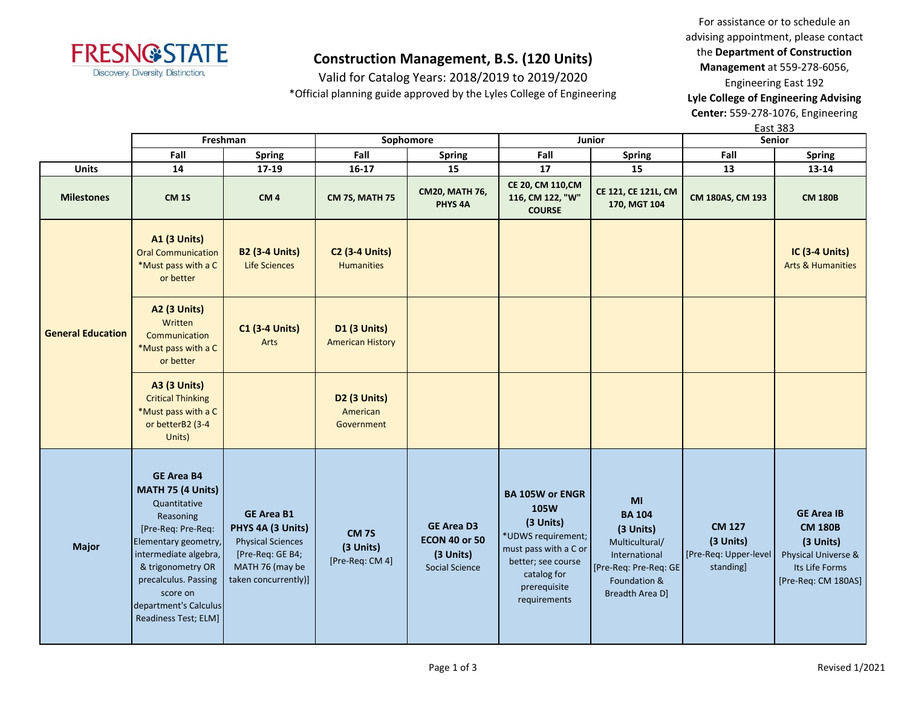

Valid for Catalog Years: 2018/2019 to 2019/2020

\*Official planning guide approved by the Lyles College of Engineering

For assistance or to schedule an advising appointment, please contact the **Department of Construction Management** at 559-278-6056,

Engineering East 192 **Lyle College of Engineering Advising Center:** 559-278-1076, Engineering

East 383

|                          |                                                                                                                                                                                                                                                      | Freshman                                                                                                                          |                                                | Sophomore                                                                | Junior                                                                                                                                                          |                                                                                                                                 | гаэг эоэ<br>Senior                                               |                                                                                                                  |
|--------------------------|------------------------------------------------------------------------------------------------------------------------------------------------------------------------------------------------------------------------------------------------------|-----------------------------------------------------------------------------------------------------------------------------------|------------------------------------------------|--------------------------------------------------------------------------|-----------------------------------------------------------------------------------------------------------------------------------------------------------------|---------------------------------------------------------------------------------------------------------------------------------|------------------------------------------------------------------|------------------------------------------------------------------------------------------------------------------|
|                          | Fall                                                                                                                                                                                                                                                 | <b>Spring</b>                                                                                                                     | Fall                                           | Spring                                                                   | Fall                                                                                                                                                            | <b>Spring</b>                                                                                                                   | Fall                                                             | <b>Spring</b>                                                                                                    |
| <b>Units</b>             | 14                                                                                                                                                                                                                                                   | 17-19                                                                                                                             | $16 - 17$                                      | 15                                                                       | 17                                                                                                                                                              | 15                                                                                                                              | 13                                                               | 13-14                                                                                                            |
| <b>Milestones</b>        | <b>CM 1S</b>                                                                                                                                                                                                                                         | CM <sub>4</sub>                                                                                                                   | <b>CM 7S, MATH 75</b>                          | <b>CM20, MATH 76,</b><br>PHYS <sub>4A</sub>                              | CE 20, CM 110, CM<br>116, CM 122, "W"<br><b>COURSE</b>                                                                                                          | CE 121, CE 121L, CM<br>170, MGT 104                                                                                             | CM 180AS, CM 193                                                 | <b>CM 180B</b>                                                                                                   |
|                          | <b>A1 (3 Units)</b><br><b>Oral Communication</b><br>*Must pass with a C<br>or better                                                                                                                                                                 | <b>B2 (3-4 Units)</b><br><b>Life Sciences</b>                                                                                     | <b>C2 (3-4 Units)</b><br><b>Humanities</b>     |                                                                          |                                                                                                                                                                 |                                                                                                                                 |                                                                  | <b>IC (3-4 Units)</b><br><b>Arts &amp; Humanities</b>                                                            |
| <b>General Education</b> | <b>A2 (3 Units)</b><br>Written<br>Communication<br>*Must pass with a C<br>or better                                                                                                                                                                  | <b>C1 (3-4 Units)</b><br>Arts                                                                                                     | <b>D1 (3 Units)</b><br><b>American History</b> |                                                                          |                                                                                                                                                                 |                                                                                                                                 |                                                                  |                                                                                                                  |
|                          | <b>A3 (3 Units)</b><br><b>Critical Thinking</b><br>*Must pass with a C<br>or betterB2 (3-4<br>Units)                                                                                                                                                 |                                                                                                                                   | D2 (3 Units)<br>American<br>Government         |                                                                          |                                                                                                                                                                 |                                                                                                                                 |                                                                  |                                                                                                                  |
| <b>Major</b>             | <b>GE Area B4</b><br>MATH 75 (4 Units)<br>Quantitative<br>Reasoning<br>[Pre-Req: Pre-Req:<br>Elementary geometry,<br>intermediate algebra,<br>& trigonometry OR<br>precalculus. Passing<br>score on<br>department's Calculus<br>Readiness Test; ELM] | <b>GE Area B1</b><br>PHYS 4A (3 Units)<br><b>Physical Sciences</b><br>[Pre-Req: GE B4;<br>MATH 76 (may be<br>taken concurrently)] | <b>CM 7S</b><br>(3 Units)<br>[Pre-Req: CM 4]   | <b>GE Area D3</b><br><b>ECON 40 or 50</b><br>(3 Units)<br>Social Science | <b>BA 105W or ENGR</b><br>105W<br>(3 Units)<br>*UDWS requirement;<br>must pass with a C or<br>better; see course<br>catalog for<br>prerequisite<br>requirements | MI<br><b>BA 104</b><br>(3 Units)<br>Multicultural/<br>International<br>[Pre-Req: Pre-Req: GE<br>Foundation &<br>Breadth Area D] | <b>CM 127</b><br>(3 Units)<br>[Pre-Req: Upper-level<br>standing] | <b>GE Area IB</b><br><b>CM 180B</b><br>(3 Units)<br>Physical Universe &<br>Its Life Forms<br>[Pre-Req: CM 180AS] |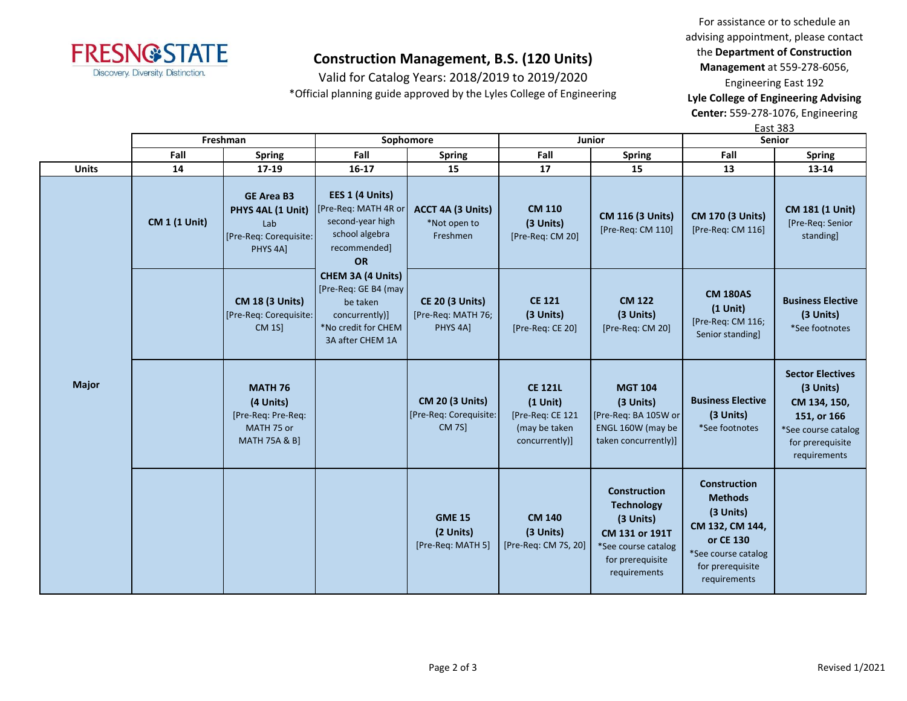

Valid for Catalog Years: 2018/2019 to 2019/2020

\*Official planning guide approved by the Lyles College of Engineering

For assistance or to schedule an advising appointment, please contact the **Department of Construction Management** at 559-278-6056,

Engineering East 192

**Lyle College of Engineering Advising Center:** 559-278-1076, Engineering

East 383

|              |                      | Freshman                                                                                    |                                                                                                                    | Sophomore                                                            | <b>Junior</b>                                                                       |                                                                                                                                    | <b>Senior</b>                                                                                                                                 |                                                                                                                                |
|--------------|----------------------|---------------------------------------------------------------------------------------------|--------------------------------------------------------------------------------------------------------------------|----------------------------------------------------------------------|-------------------------------------------------------------------------------------|------------------------------------------------------------------------------------------------------------------------------------|-----------------------------------------------------------------------------------------------------------------------------------------------|--------------------------------------------------------------------------------------------------------------------------------|
|              | Fall                 | <b>Spring</b>                                                                               | Fall                                                                                                               | <b>Spring</b>                                                        | Fall                                                                                | <b>Spring</b>                                                                                                                      | Fall                                                                                                                                          | <b>Spring</b>                                                                                                                  |
| <b>Units</b> | 14                   | 17-19                                                                                       | $16 - 17$                                                                                                          | 15                                                                   | 17                                                                                  | 15                                                                                                                                 | 13                                                                                                                                            | 13-14                                                                                                                          |
| <b>Major</b> | <b>CM 1 (1 Unit)</b> | <b>GE Area B3</b><br>PHYS 4AL (1 Unit)<br>Lab<br>[Pre-Req: Corequisite:<br>PHYS 4A]         | EES 1 (4 Units)<br>[Pre-Req: MATH 4R or<br>second-year high<br>school algebra<br>recommended]<br><b>OR</b>         | ACCT 4A (3 Units)<br>*Not open to<br>Freshmen                        | <b>CM 110</b><br>(3 Units)<br>[Pre-Req: CM 20]                                      | <b>CM 116 (3 Units)</b><br>[Pre-Req: CM 110]                                                                                       | <b>CM 170 (3 Units)</b><br>[Pre-Req: CM 116]                                                                                                  | <b>CM 181 (1 Unit)</b><br>[Pre-Req: Senior<br>standing                                                                         |
|              |                      | <b>CM 18 (3 Units)</b><br>[Pre-Req: Corequisite:<br><b>CM 1S]</b>                           | CHEM 3A (4 Units)<br>[Pre-Req: GE B4 (may<br>be taken<br>concurrently)]<br>*No credit for CHEM<br>3A after CHEM 1A | <b>CE 20 (3 Units)</b><br>[Pre-Req: MATH 76;<br>PHYS <sub>4A</sub> ] | <b>CE 121</b><br>(3 Units)<br>[Pre-Req: CE 20]                                      | <b>CM 122</b><br>(3 Units)<br>[Pre-Req: CM 20]                                                                                     | <b>CM 180AS</b><br>$(1$ Unit)<br>[Pre-Req: CM 116;<br>Senior standing]                                                                        | <b>Business Elective</b><br>(3 Units)<br>*See footnotes                                                                        |
|              |                      | <b>MATH 76</b><br>(4 Units)<br>[Pre-Req: Pre-Req:<br>MATH 75 or<br><b>MATH 75A &amp; B]</b> |                                                                                                                    | <b>CM 20 (3 Units)</b><br>[Pre-Req: Corequisite:<br><b>CM 7S]</b>    | <b>CE 121L</b><br>$(1$ Unit)<br>[Pre-Req: CE 121<br>(may be taken<br>concurrently)] | <b>MGT 104</b><br>(3 Units)<br>[Pre-Req: BA 105W or<br>ENGL 160W (may be<br>taken concurrently)]                                   | <b>Business Elective</b><br>(3 Units)<br>*See footnotes                                                                                       | <b>Sector Electives</b><br>(3 Units)<br>CM 134, 150,<br>151, or 166<br>*See course catalog<br>for prerequisite<br>requirements |
|              |                      |                                                                                             |                                                                                                                    | <b>GME 15</b><br>(2 Units)<br>[Pre-Req: MATH 5]                      | <b>CM 140</b><br>(3 Units)<br>[Pre-Req: CM 7S, 20]                                  | <b>Construction</b><br><b>Technology</b><br>(3 Units)<br>CM 131 or 191T<br>*See course catalog<br>for prerequisite<br>requirements | <b>Construction</b><br><b>Methods</b><br>(3 Units)<br>CM 132, CM 144,<br>or CE 130<br>*See course catalog<br>for prerequisite<br>requirements |                                                                                                                                |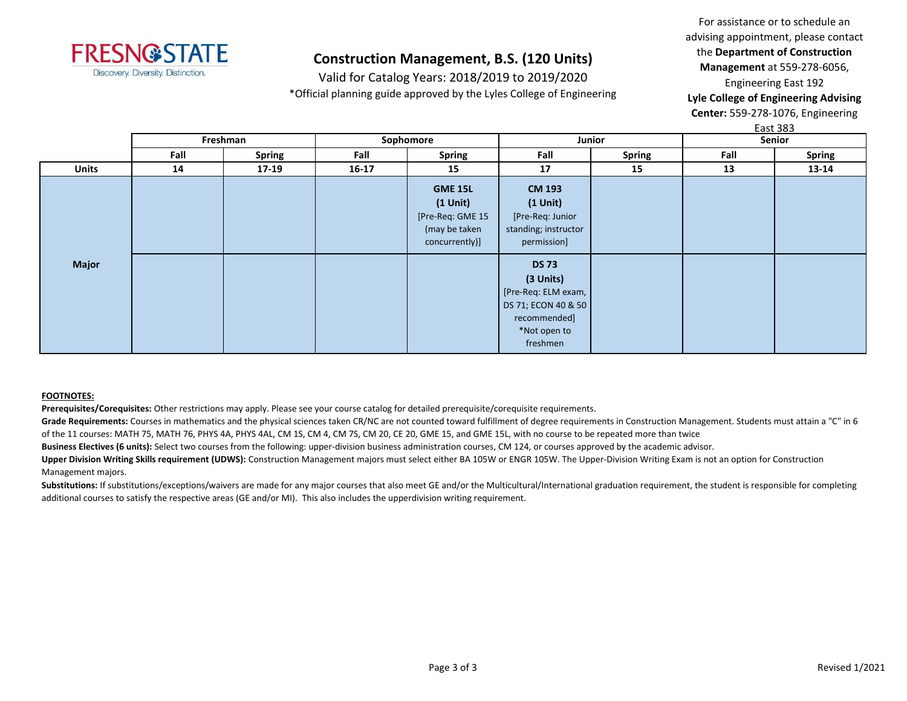

Valid for Catalog Years: 2018/2019 to 2019/2020 \*Official planning guide approved by the Lyles College of Engineering

For assistance or to schedule an advising appointment, please contact the **Department of Construction Management** at 559-278-6056, Engineering East 192

**Lyle College of Engineering Advising Center:** 559-278-1076, Engineering

East 383

|              | Freshman |               | Sophomore |                                                                                     | Junior                                                                                                              |        | Senior |               |
|--------------|----------|---------------|-----------|-------------------------------------------------------------------------------------|---------------------------------------------------------------------------------------------------------------------|--------|--------|---------------|
|              | Fall     | <b>Spring</b> | Fall      | <b>Spring</b>                                                                       | Fall                                                                                                                | Spring | Fall   | <b>Spring</b> |
| <b>Units</b> | 14       | 17-19         | $16 - 17$ | 15                                                                                  | 17                                                                                                                  | 15     | 13     | 13-14         |
|              |          |               |           | <b>GME 15L</b><br>$(1$ Unit)<br>[Pre-Req: GME 15<br>(may be taken<br>concurrently)] | <b>CM 193</b><br>$(1$ Unit $)$<br>[Pre-Req: Junior<br>standing; instructor<br>permission]                           |        |        |               |
| <b>Major</b> |          |               |           |                                                                                     | <b>DS 73</b><br>(3 Units)<br>[Pre-Req: ELM exam,<br>DS 71; ECON 40 & 50<br>recommended]<br>*Not open to<br>freshmen |        |        |               |

#### **FOOTNOTES:**

**Prerequisites/Corequisites:** Other restrictions may apply. Please see your course catalog for detailed prerequisite/corequisite requirements.

Grade Requirements: Courses in mathematics and the physical sciences taken CR/NC are not counted toward fulfillment of degree requirements in Construction Management. Students must attain a "C" in 6 of the 11 courses: MATH 75, MATH 76, PHYS 4A, PHYS 4AL, CM 1S, CM 4, CM 7S, CM 20, CE 20, GME 15, and GME 15L, with no course to be repeated more than twice

**Business Electives (6 units):** Select two courses from the following: upper-division business administration courses, CM 124, or courses approved by the academic advisor.

Upper Division Writing Skills requirement (UDWS): Construction Management majors must select either BA 105W or ENGR 105W. The Upper-Division Writing Exam is not an option for Construction Management majors.

Substitutions: If substitutions/exceptions/waivers are made for any major courses that also meet GE and/or the Multicultural/International graduation requirement, the student is responsible for completing additional courses to satisfy the respective areas (GE and/or MI). This also includes the upperdivision writing requirement.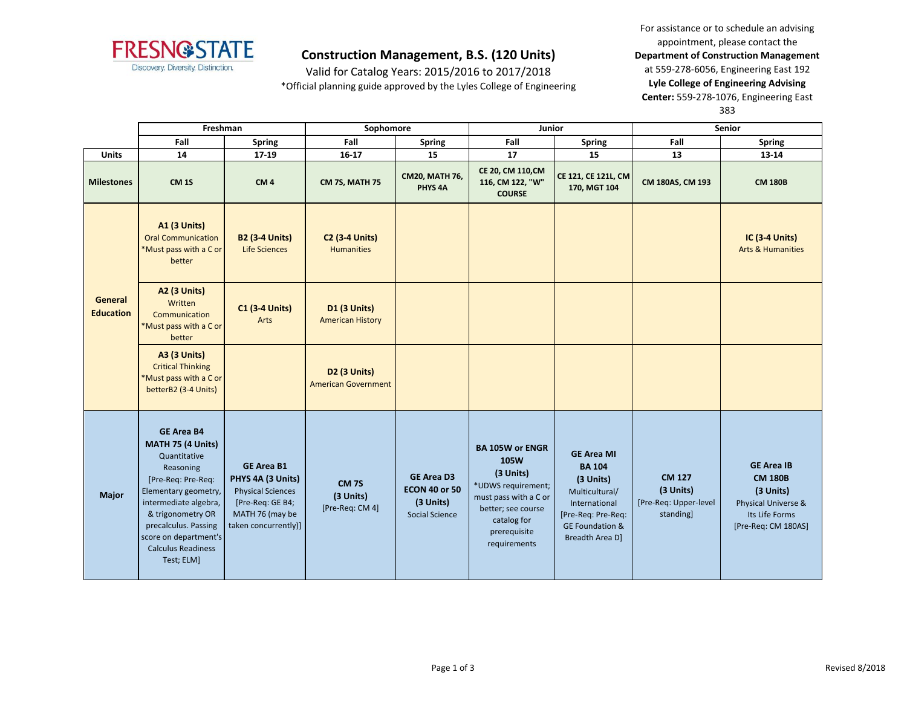

Valid for Catalog Years: 2015/2016 to 2017/2018 \*Official planning guide approved by the Lyles College of Engineering

For assistance or to schedule an advising appointment, please contact the **Department of Construction Management**  at 559-278-6056, Engineering East 192 **Lyle College of Engineering Advising Center:** 559-278-1076, Engineering East 383

|                                    | Freshman                                                                                                                                                                                                                                                    |                                                                                                                                   | Sophomore                                              |                                                                                 | Junior                                                                                                                                                          |                                                                                                                                                           | Senior                                                           |                                                                                                                  |
|------------------------------------|-------------------------------------------------------------------------------------------------------------------------------------------------------------------------------------------------------------------------------------------------------------|-----------------------------------------------------------------------------------------------------------------------------------|--------------------------------------------------------|---------------------------------------------------------------------------------|-----------------------------------------------------------------------------------------------------------------------------------------------------------------|-----------------------------------------------------------------------------------------------------------------------------------------------------------|------------------------------------------------------------------|------------------------------------------------------------------------------------------------------------------|
|                                    | Fall                                                                                                                                                                                                                                                        | <b>Spring</b>                                                                                                                     | Fall                                                   | <b>Spring</b>                                                                   | Fall                                                                                                                                                            | <b>Spring</b>                                                                                                                                             | Fall                                                             | <b>Spring</b>                                                                                                    |
| <b>Units</b>                       | 14                                                                                                                                                                                                                                                          | 17-19                                                                                                                             | $16-17$                                                | 15                                                                              | 17                                                                                                                                                              | 15                                                                                                                                                        | 13                                                               | 13-14                                                                                                            |
| <b>Milestones</b>                  | <b>CM 1S</b>                                                                                                                                                                                                                                                | CM <sub>4</sub>                                                                                                                   | <b>CM 7S, MATH 75</b>                                  | <b>CM20, MATH 76,</b><br>PHYS <sub>4A</sub>                                     | CE 20, CM 110, CM<br>116, CM 122, "W"<br><b>COURSE</b>                                                                                                          | CE 121, CE 121L, CM<br>170, MGT 104                                                                                                                       | CM 180AS, CM 193                                                 | <b>CM 180B</b>                                                                                                   |
|                                    | <b>A1 (3 Units)</b><br><b>Oral Communication</b><br>*Must pass with a C or<br>better                                                                                                                                                                        | <b>B2 (3-4 Units)</b><br><b>Life Sciences</b>                                                                                     | <b>C2 (3-4 Units)</b><br><b>Humanities</b>             |                                                                                 |                                                                                                                                                                 |                                                                                                                                                           |                                                                  | <b>IC (3-4 Units)</b><br><b>Arts &amp; Humanities</b>                                                            |
| <b>General</b><br><b>Education</b> | <b>A2 (3 Units)</b><br>Written<br>Communication<br>*Must pass with a C or<br>better                                                                                                                                                                         | <b>C1 (3-4 Units)</b><br>Arts                                                                                                     | <b>D1 (3 Units)</b><br><b>American History</b>         |                                                                                 |                                                                                                                                                                 |                                                                                                                                                           |                                                                  |                                                                                                                  |
|                                    | <b>A3 (3 Units)</b><br><b>Critical Thinking</b><br>*Must pass with a C or<br>betterB2 (3-4 Units)                                                                                                                                                           |                                                                                                                                   | D <sub>2</sub> (3 Units)<br><b>American Government</b> |                                                                                 |                                                                                                                                                                 |                                                                                                                                                           |                                                                  |                                                                                                                  |
| Major                              | <b>GE Area B4</b><br>MATH 75 (4 Units)<br>Quantitative<br>Reasoning<br>[Pre-Req: Pre-Req:<br>Elementary geometry,<br>intermediate algebra,<br>& trigonometry OR<br>precalculus. Passing<br>score on department's<br><b>Calculus Readiness</b><br>Test; ELM] | <b>GE Area B1</b><br>PHYS 4A (3 Units)<br><b>Physical Sciences</b><br>[Pre-Req: GE B4;<br>MATH 76 (may be<br>taken concurrently)] | <b>CM 7S</b><br>(3 Units)<br>[Pre-Req: CM 4]           | <b>GE Area D3</b><br><b>ECON 40 or 50</b><br>(3 Units)<br><b>Social Science</b> | <b>BA 105W or ENGR</b><br>105W<br>(3 Units)<br>*UDWS requirement;<br>must pass with a C or<br>better; see course<br>catalog for<br>prerequisite<br>requirements | <b>GE Area MI</b><br><b>BA 104</b><br>(3 Units)<br>Multicultural/<br>International<br>[Pre-Req: Pre-Req:<br><b>GE Foundation &amp;</b><br>Breadth Area D] | <b>CM 127</b><br>(3 Units)<br>[Pre-Req: Upper-level<br>standing] | <b>GE Area IB</b><br><b>CM 180B</b><br>(3 Units)<br>Physical Universe &<br>Its Life Forms<br>[Pre-Req: CM 180AS] |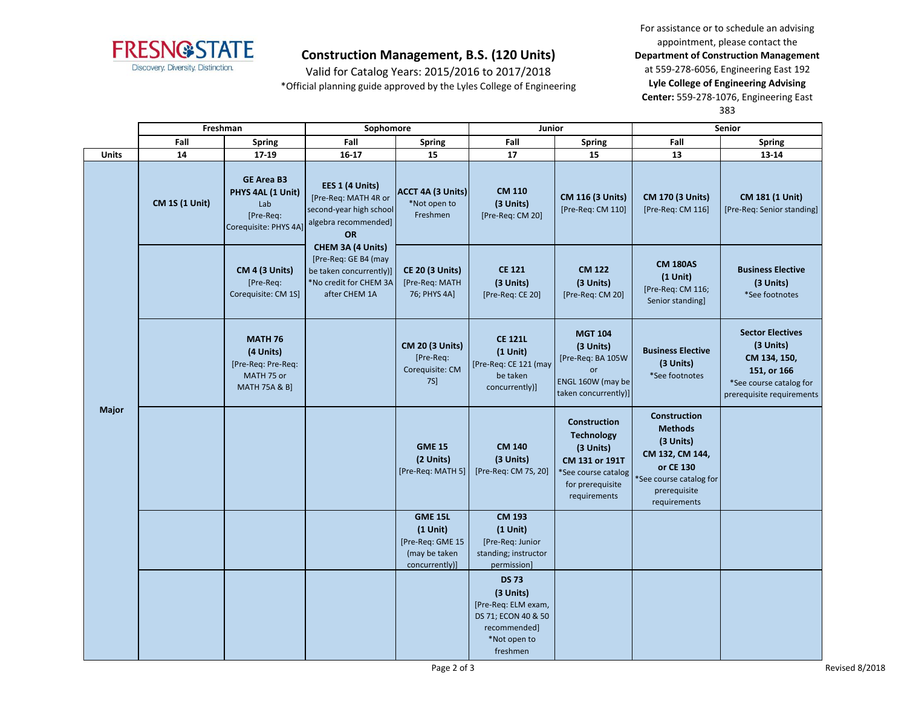

Valid for Catalog Years: 2015/2016 to 2017/2018 \*Official planning guide approved by the Lyles College of Engineering

For assistance or to schedule an advising appointment, please contact the **Department of Construction Management**  at 559-278-6056, Engineering East 192 **Lyle College of Engineering Advising Center:** 559-278-1076, Engineering East 383

|              | Freshman              |                                                                                             | Sophomore                                                                                                       |                                                                                     | Junior                                                                                                              |                                                                                                                                    | Senior                                                                                                                                       |                                                                                                                             |
|--------------|-----------------------|---------------------------------------------------------------------------------------------|-----------------------------------------------------------------------------------------------------------------|-------------------------------------------------------------------------------------|---------------------------------------------------------------------------------------------------------------------|------------------------------------------------------------------------------------------------------------------------------------|----------------------------------------------------------------------------------------------------------------------------------------------|-----------------------------------------------------------------------------------------------------------------------------|
|              | Fall                  | <b>Spring</b>                                                                               | Fall                                                                                                            | <b>Spring</b>                                                                       | Fall                                                                                                                | <b>Spring</b>                                                                                                                      | Fall                                                                                                                                         | <b>Spring</b>                                                                                                               |
| <b>Units</b> | 14                    | 17-19                                                                                       | $16 - 17$                                                                                                       | 15                                                                                  | 17                                                                                                                  | 15                                                                                                                                 | 13                                                                                                                                           | 13-14                                                                                                                       |
|              | <b>CM 1S (1 Unit)</b> | <b>GE Area B3</b><br>PHYS 4AL (1 Unit)<br>Lab<br>[Pre-Req:<br>Corequisite: PHYS 4A]         | EES 1 (4 Units)<br>[Pre-Req: MATH 4R or<br>second-year high school<br>algebra recommended]<br><b>OR</b>         | ACCT 4A (3 Units)<br>*Not open to<br>Freshmen                                       | <b>CM 110</b><br>(3 Units)<br>[Pre-Req: CM 20]                                                                      | <b>CM 116 (3 Units)</b><br>[Pre-Req: CM 110]                                                                                       | <b>CM 170 (3 Units)</b><br>[Pre-Req: CM 116]                                                                                                 | CM 181 (1 Unit)<br>[Pre-Req: Senior standing]                                                                               |
|              |                       | <b>CM 4 (3 Units)</b><br>[Pre-Req:<br>Corequisite: CM 1S]                                   | CHEM 3A (4 Units)<br>[Pre-Req: GE B4 (may<br>be taken concurrently)]<br>*No credit for CHEM 3A<br>after CHEM 1A | <b>CE 20 (3 Units)</b><br>[Pre-Req: MATH<br>76; PHYS 4A]                            | <b>CE 121</b><br>(3 Units)<br>[Pre-Req: CE 20]                                                                      | <b>CM 122</b><br>(3 Units)<br>[Pre-Req: CM 20]                                                                                     | <b>CM 180AS</b><br>$(1$ Unit)<br>[Pre-Req: CM 116;<br>Senior standing]                                                                       | <b>Business Elective</b><br>(3 Units)<br>*See footnotes                                                                     |
| <b>Major</b> |                       | <b>MATH 76</b><br>(4 Units)<br>[Pre-Req: Pre-Req:<br>MATH 75 or<br><b>MATH 75A &amp; B]</b> |                                                                                                                 | <b>CM 20 (3 Units)</b><br>[Pre-Req:<br>Corequisite: CM<br>7S                        | <b>CE 121L</b><br>$(1$ Unit)<br>[Pre-Req: CE 121 (may<br>be taken<br>concurrently)]                                 | <b>MGT 104</b><br>(3 Units)<br>[Pre-Req: BA 105W<br>or<br>ENGL 160W (may be<br>taken concurrently)]                                | <b>Business Elective</b><br>(3 Units)<br>*See footnotes                                                                                      | <b>Sector Electives</b><br>(3 Units)<br>CM 134, 150,<br>151, or 166<br>*See course catalog for<br>prerequisite requirements |
|              |                       |                                                                                             |                                                                                                                 | <b>GME 15</b><br>(2 Units)<br>[Pre-Req: MATH 5]                                     | <b>CM 140</b><br>(3 Units)<br>[Pre-Req: CM 7S, 20]                                                                  | <b>Construction</b><br><b>Technology</b><br>(3 Units)<br>CM 131 or 191T<br>*See course catalog<br>for prerequisite<br>requirements | <b>Construction</b><br><b>Methods</b><br>(3 Units)<br>CM 132, CM 144,<br>or CE 130<br>See course catalog for<br>prerequisite<br>requirements |                                                                                                                             |
|              |                       |                                                                                             |                                                                                                                 | <b>GME 15L</b><br>$(1$ Unit)<br>[Pre-Req: GME 15<br>(may be taken<br>concurrently)] | <b>CM 193</b><br>$(1$ Unit)<br>[Pre-Req: Junior<br>standing; instructor<br>permission]                              |                                                                                                                                    |                                                                                                                                              |                                                                                                                             |
|              |                       |                                                                                             |                                                                                                                 |                                                                                     | <b>DS 73</b><br>(3 Units)<br>[Pre-Req: ELM exam,<br>DS 71; ECON 40 & 50<br>recommended]<br>*Not open to<br>freshmen |                                                                                                                                    |                                                                                                                                              |                                                                                                                             |